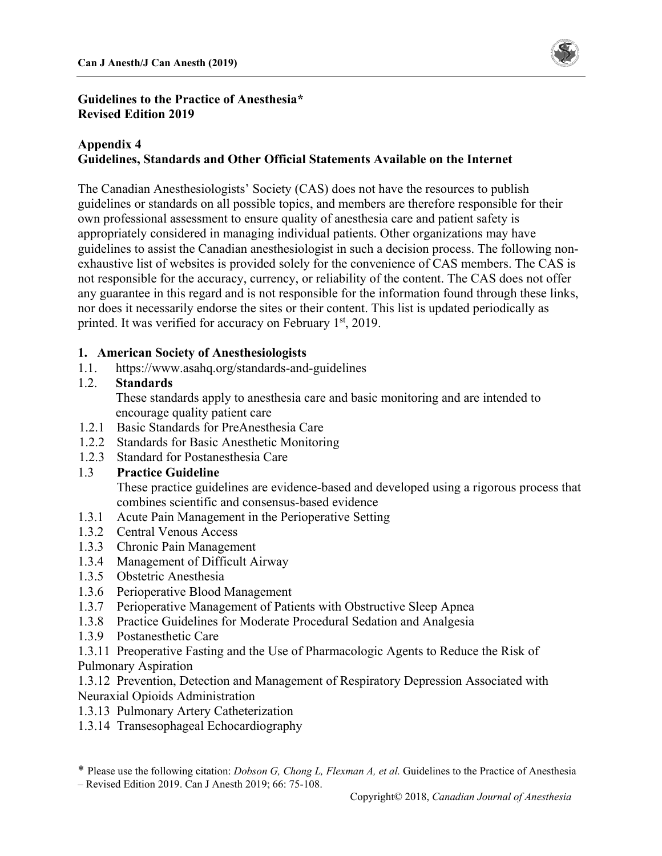

#### **Guidelines to the Practice of Anesthesia\* Revised Edition 2019**

#### **Appendix 4 Guidelines, Standards and Other Official Statements Available on the Internet**

The Canadian Anesthesiologists' Society (CAS) does not have the resources to publish guidelines or standards on all possible topics, and members are therefore responsible for their own professional assessment to ensure quality of anesthesia care and patient safety is appropriately considered in managing individual patients. Other organizations may have guidelines to assist the Canadian anesthesiologist in such a decision process. The following nonexhaustive list of websites is provided solely for the convenience of CAS members. The CAS is not responsible for the accuracy, currency, or reliability of the content. The CAS does not offer any guarantee in this regard and is not responsible for the information found through these links, nor does it necessarily endorse the sites or their content. This list is updated periodically as printed. It was verified for accuracy on February 1<sup>st</sup>, 2019.

#### **1. American Society of Anesthesiologists**

1.1. <https://www.asahq.org/standards-and-guidelines>

## 1.2. **Standards**

These standards apply to anesthesia care and basic monitoring and are intended to encourage quality patient care

- 1.2.1 Basic Standards for PreAnesthesia Care
- 1.2.2 Standards for Basic Anesthetic Monitoring
- 1.2.3 Standard for Postanesthesia Care

## 1.3 **Practice Guideline**

These practice guidelines are evidence-based and developed using a rigorous process that combines scientific and consensus-based evidence

- 1.3.1 Acute Pain Management in the Perioperative Setting
- 1.3.2 Central Venous Access
- 1.3.3 Chronic Pain Management
- 1.3.4 Management of Difficult Airway
- 1.3.5 Obstetric Anesthesia
- 1.3.6 Perioperative Blood Management
- 1.3.7 Perioperative Management of Patients with Obstructive Sleep Apnea
- 1.3.8 Practice Guidelines for Moderate Procedural Sedation and Analgesia
- 1.3.9 Postanesthetic Care
- 1.3.11 Preoperative Fasting and the Use of Pharmacologic Agents to Reduce the Risk of Pulmonary Aspiration

1.3.12 Prevention, Detection and Management of Respiratory Depression Associated with Neuraxial Opioids Administration

- 1.3.13 Pulmonary Artery Catheterization
- 1.3.14 Transesophageal Echocardiography

<sup>\*</sup> Please use the following citation: *Dobson G, Chong L, Flexman A, et al.* Guidelines to the Practice of Anesthesia – Revised Edition 2019. Can J Anesth 2019; 66: 75-108.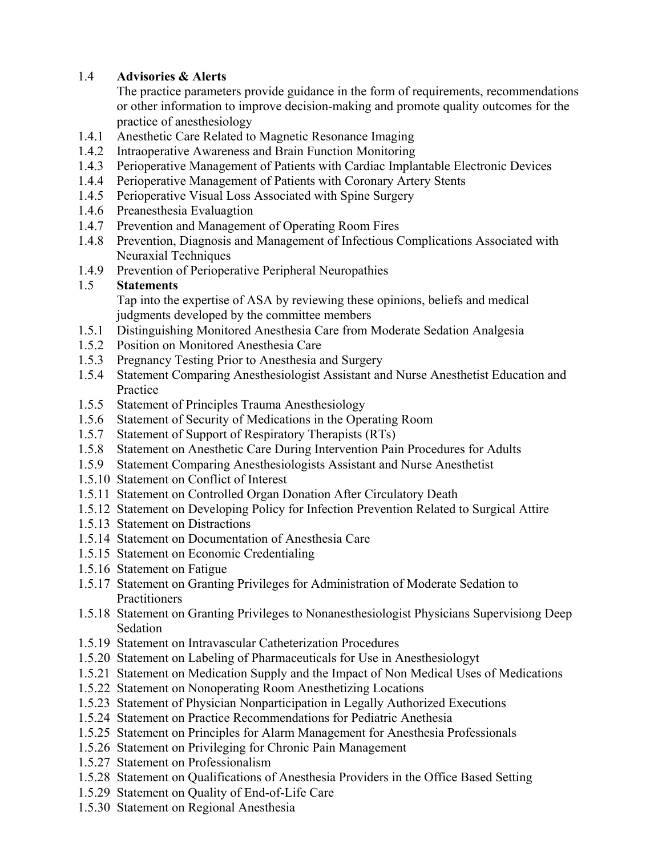# 1.4 **Advisories & Alerts**

The practice parameters provide guidance in the form of requirements, recommendations or other information to improve decision-making and promote quality outcomes for the practice of anesthesiology

- 1.4.1 Anesthetic Care Related to Magnetic Resonance Imaging
- 1.4.2 Intraoperative Awareness and Brain Function Monitoring
- 1.4.3 Perioperative Management of Patients with Cardiac Implantable Electronic Devices
- 1.4.4 Perioperative Management of Patients with Coronary Artery Stents
- 1.4.5 Perioperative Visual Loss Associated with Spine Surgery
- 1.4.6 Preanesthesia Evaluagtion
- 1.4.7 Prevention and Management of Operating Room Fires
- 1.4.8 Prevention, Diagnosis and Management of Infectious Complications Associated with Neuraxial Techniques
- 1.4.9 Prevention of Perioperative Peripheral Neuropathies

# 1.5 **Statements**

Tap into the expertise of ASA by reviewing these opinions, beliefs and medical judgments developed by the committee members

- 1.5.1 Distinguishing Monitored Anesthesia Care from Moderate Sedation Analgesia
- 1.5.2 Position on Monitored Anesthesia Care
- 1.5.3 Pregnancy Testing Prior to Anesthesia and Surgery
- 1.5.4 Statement Comparing Anesthesiologist Assistant and Nurse Anesthetist Education and Practice
- 1.5.5 Statement of Principles Trauma Anesthesiology
- 1.5.6 Statement of Security of Medications in the Operating Room
- 1.5.7 Statement of Support of Respiratory Therapists (RTs)
- 1.5.8 Statement on Anesthetic Care During Intervention Pain Procedures for Adults
- 1.5.9 Statement Comparing Anesthesiologists Assistant and Nurse Anesthetist
- 1.5.10 Statement on Conflict of Interest
- 1.5.11 Statement on Controlled Organ Donation After Circulatory Death
- 1.5.12 Statement on Developing Policy for Infection Prevention Related to Surgical Attire
- 1.5.13 Statement on Distractions
- 1.5.14 Statement on Documentation of Anesthesia Care
- 1.5.15 Statement on Economic Credentialing
- 1.5.16 Statement on Fatigue
- 1.5.17 Statement on Granting Privileges for Administration of Moderate Sedation to Practitioners
- 1.5.18 Statement on Granting Privileges to Nonanesthesiologist Physicians Supervisiong Deep Sedation
- 1.5.19 Statement on Intravascular Catheterization Procedures
- 1.5.20 Statement on Labeling of Pharmaceuticals for Use in Anesthesiologyt
- 1.5.21 Statement on Medication Supply and the Impact of Non Medical Uses of Medications
- 1.5.22 Statement on Nonoperating Room Anesthetizing Locations
- 1.5.23 Statement of Physician Nonparticipation in Legally Authorized Executions
- 1.5.24 Statement on Practice Recommendations for Pediatric Anethesia
- 1.5.25 Statement on Principles for Alarm Management for Anesthesia Professionals
- 1.5.26 Statement on Privileging for Chronic Pain Management
- 1.5.27 Statement on Professionalism
- 1.5.28 Statement on Qualifications of Anesthesia Providers in the Office Based Setting
- 1.5.29 Statement on Quality of End-of-Life Care
- 1.5.30 Statement on Regional Anesthesia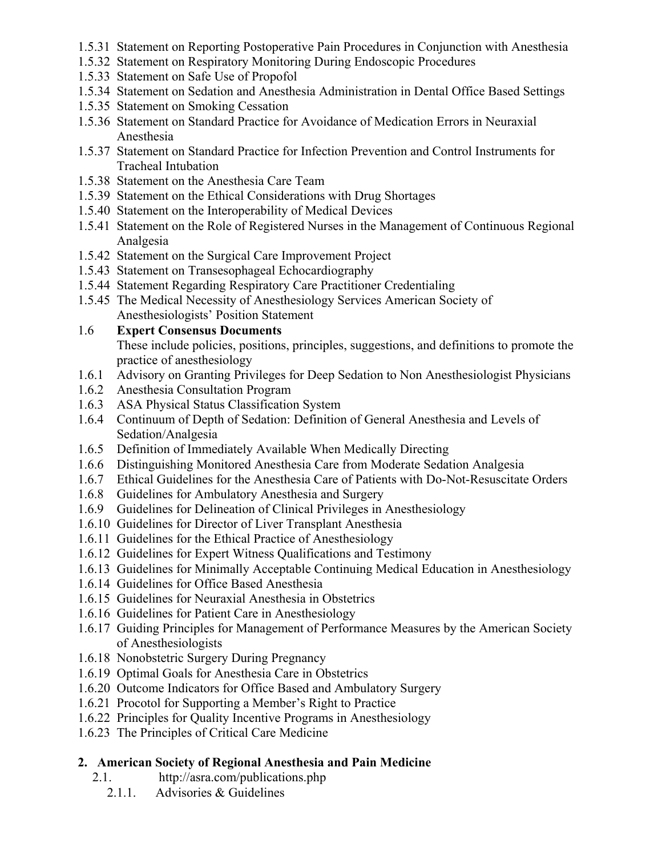- 1.5.31 Statement on Reporting Postoperative Pain Procedures in Conjunction with Anesthesia
- 1.5.32 Statement on Respiratory Monitoring During Endoscopic Procedures
- 1.5.33 Statement on Safe Use of Propofol
- 1.5.34 Statement on Sedation and Anesthesia Administration in Dental Office Based Settings
- 1.5.35 Statement on Smoking Cessation
- 1.5.36 Statement on Standard Practice for Avoidance of Medication Errors in Neuraxial Anesthesia
- 1.5.37 Statement on Standard Practice for Infection Prevention and Control Instruments for Tracheal Intubation
- 1.5.38 Statement on the Anesthesia Care Team
- 1.5.39 Statement on the Ethical Considerations with Drug Shortages
- 1.5.40 Statement on the Interoperability of Medical Devices
- 1.5.41 Statement on the Role of Registered Nurses in the Management of Continuous Regional Analgesia
- 1.5.42 Statement on the Surgical Care Improvement Project
- 1.5.43 Statement on Transesophageal Echocardiography
- 1.5.44 Statement Regarding Respiratory Care Practitioner Credentialing
- 1.5.45 The Medical Necessity of Anesthesiology Services American Society of Anesthesiologists' Position Statement

#### 1.6 **Expert Consensus Documents**

These include policies, positions, principles, suggestions, and definitions to promote the practice of anesthesiology

- 1.6.1 Advisory on Granting Privileges for Deep Sedation to Non Anesthesiologist Physicians
- 1.6.2 Anesthesia Consultation Program
- 1.6.3 ASA Physical Status Classification System
- 1.6.4 Continuum of Depth of Sedation: Definition of General Anesthesia and Levels of Sedation/Analgesia
- 1.6.5 Definition of Immediately Available When Medically Directing
- 1.6.6 Distinguishing Monitored Anesthesia Care from Moderate Sedation Analgesia
- 1.6.7 Ethical Guidelines for the Anesthesia Care of Patients with Do-Not-Resuscitate Orders
- 1.6.8 Guidelines for Ambulatory Anesthesia and Surgery
- 1.6.9 Guidelines for Delineation of Clinical Privileges in Anesthesiology
- 1.6.10 Guidelines for Director of Liver Transplant Anesthesia
- 1.6.11 Guidelines for the Ethical Practice of Anesthesiology
- 1.6.12 Guidelines for Expert Witness Qualifications and Testimony
- 1.6.13 Guidelines for Minimally Acceptable Continuing Medical Education in Anesthesiology
- 1.6.14 Guidelines for Office Based Anesthesia
- 1.6.15 Guidelines for Neuraxial Anesthesia in Obstetrics
- 1.6.16 Guidelines for Patient Care in Anesthesiology
- 1.6.17 Guiding Principles for Management of Performance Measures by the American Society of Anesthesiologists
- 1.6.18 Nonobstetric Surgery During Pregnancy
- 1.6.19 Optimal Goals for Anesthesia Care in Obstetrics
- 1.6.20 Outcome Indicators for Office Based and Ambulatory Surgery
- 1.6.21 Procotol for Supporting a Member's Right to Practice
- 1.6.22 Principles for Quality Incentive Programs in Anesthesiology
- 1.6.23 The Principles of Critical Care Medicine

## **2. American Society of Regional Anesthesia and Pain Medicine**

- 2.1.<http://asra.com/publications.php>
	- 2.1.1. Advisories & Guidelines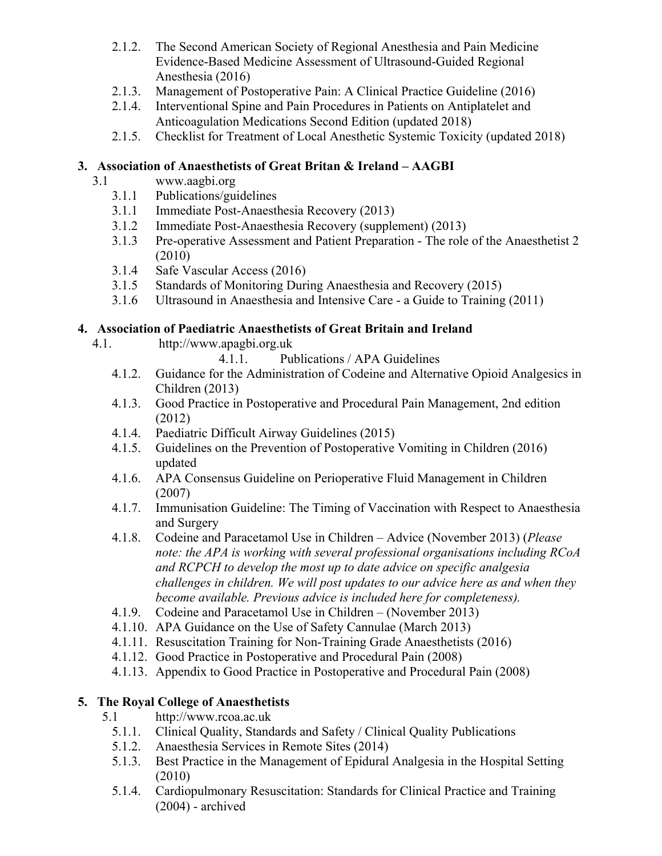- 2.1.2. The Second American Society of Regional Anesthesia and Pain Medicine Evidence-Based Medicine Assessment of Ultrasound-Guided Regional Anesthesia (2016)
- 2.1.3. Management of Postoperative Pain: A Clinical Practice Guideline (2016)
- 2.1.4. Interventional Spine and Pain Procedures in Patients on Antiplatelet and Anticoagulation Medications Second Edition (updated 2018)
- 2.1.5. Checklist for Treatment of Local Anesthetic Systemic Toxicity (updated 2018)

## **3. Association of Anaesthetists of Great Britan & Ireland – AAGBI**

- 3.1 <www.aagbi.org>
	- 3.1.1 Publications/guidelines
	- 3.1.1 Immediate Post-Anaesthesia Recovery (2013)
	- 3.1.2 Immediate Post-Anaesthesia Recovery (supplement) (2013)
	- 3.1.3 Pre-operative Assessment and Patient Preparation The role of the Anaesthetist 2 (2010)
	- 3.1.4 Safe Vascular Access (2016)
	- 3.1.5 Standards of Monitoring During Anaesthesia and Recovery (2015)
	- 3.1.6 Ultrasound in Anaesthesia and Intensive Care a Guide to Training (2011)

# **4. Association of Paediatric Anaesthetists of Great Britain and Ireland**

- 4.1. [http://www.apagbi.org.uk](https://www.apagbi.org.uk/) 
	- 4.1.1. Publications / APA Guidelines
	- 4.1.2. Guidance for the Administration of Codeine and Alternative Opioid Analgesics in Children (2013)
	- 4.1.3. Good Practice in Postoperative and Procedural Pain Management, 2nd edition (2012)
	- 4.1.4. Paediatric Difficult Airway Guidelines (2015)
	- 4.1.5. Guidelines on the Prevention of Postoperative Vomiting in Children (2016) updated
	- 4.1.6. APA Consensus Guideline on Perioperative Fluid Management in Children (2007)
	- 4.1.7. Immunisation Guideline: The Timing of Vaccination with Respect to Anaesthesia and Surgery
	- 4.1.8. Codeine and Paracetamol Use in Children Advice (November 2013) (*Please note: the APA is working with several professional organisations including RCoA and RCPCH to develop the most up to date advice on specific analgesia challenges in children. We will post updates to our advice here as and when they become available. Previous advice is included here for completeness).*
	- 4.1.9. Codeine and Paracetamol Use in Children (November 2013)
	- 4.1.10. APA Guidance on the Use of Safety Cannulae (March 2013)
	- 4.1.11. Resuscitation Training for Non-Training Grade Anaesthetists (2016)
	- 4.1.12. Good Practice in Postoperative and Procedural Pain (2008)
	- 4.1.13. Appendix to Good Practice in Postoperative and Procedural Pain (2008)

# **5. The Royal College of Anaesthetists**

- 5.1 <http://www.rcoa.ac.uk>
	- 5.1.1. Clinical Quality, Standards and Safety / Clinical Quality Publications
	- 5.1.2. Anaesthesia Services in Remote Sites (2014)
	- 5.1.3. Best Practice in the Management of Epidural Analgesia in the Hospital Setting (2010)
	- 5.1.4. Cardiopulmonary Resuscitation: Standards for Clinical Practice and Training (2004) - archived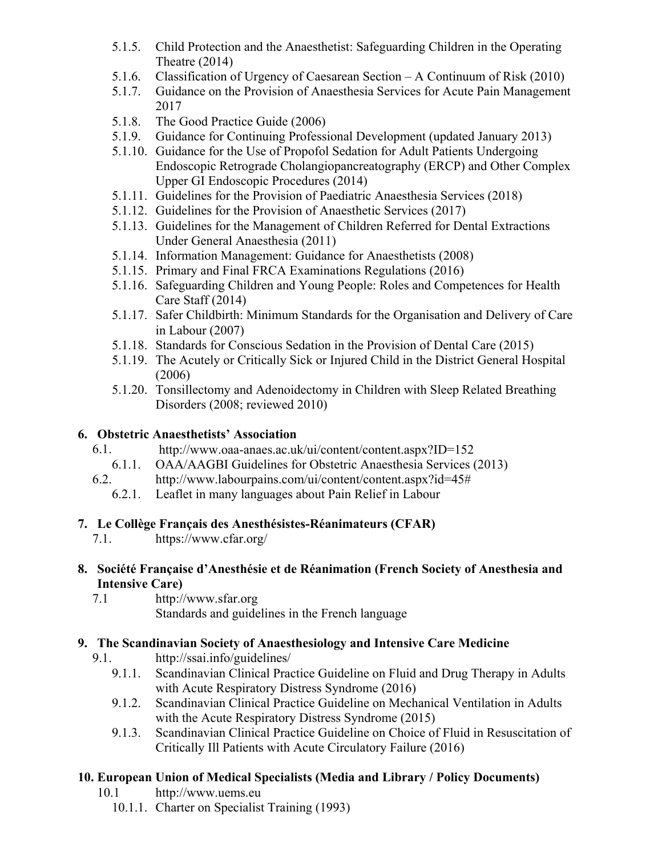- 5.1.5. Child Protection and the Anaesthetist: Safeguarding Children in the Operating Theatre (2014)
- 5.1.6. Classification of Urgency of Caesarean Section A Continuum of Risk (2010)
- 5.1.7. Guidance on the Provision of Anaesthesia Services for Acute Pain Management 2017
- 5.1.8. The Good Practice Guide (2006)
- 5.1.9. Guidance for Continuing Professional Development (updated January 2013)
- 5.1.10. Guidance for the Use of Propofol Sedation for Adult Patients Undergoing Endoscopic Retrograde Cholangiopancreatography (ERCP) and Other Complex Upper GI Endoscopic Procedures (2014)
- 5.1.11. Guidelines for the Provision of Paediatric Anaesthesia Services (2018)
- 5.1.12. Guidelines for the Provision of Anaesthetic Services (2017)
- 5.1.13. Guidelines for the Management of Children Referred for Dental Extractions Under General Anaesthesia (2011)
- 5.1.14. Information Management: Guidance for Anaesthetists (2008)
- 5.1.15. Primary and Final FRCA Examinations Regulations (2016)
- 5.1.16. Safeguarding Children and Young People: Roles and Competences for Health Care Staff (2014)
- 5.1.17. Safer Childbirth: Minimum Standards for the Organisation and Delivery of Care in Labour (2007)
- 5.1.18. Standards for Conscious Sedation in the Provision of Dental Care (2015)
- 5.1.19. The Acutely or Critically Sick or Injured Child in the District General Hospital (2006)
- 5.1.20. Tonsillectomy and Adenoidectomy in Children with Sleep Related Breathing Disorders (2008; reviewed 2010)

# **6. Obstetric Anaesthetists' Association**

- 6.1. <http://www.oaa-anaes.ac.uk/ui/content/content.aspx?ID=152>
	- 6.1.1. OAA/AAGBI Guidelines for Obstetric Anaesthesia Services (2013)
- 6.2. <http://www.labourpains.com/ui/content/content.aspx?id=45#>
	- 6.2.1. Leaflet in many languages about Pain Relief in Labour

# **7. Le Collège Français des Anesthésistes-Réanimateurs (CFAR)**

- 7.1. <https://www.cfar.org/>
- **8. Société Française d'Anesthésie et de Réanimation (French Society of Anesthesia and Intensive Care)**
	- 7.1 <http://www.sfar.org> Standards and guidelines in the French language

# **9. The Scandinavian Society of Anaesthesiology and Intensive Care Medicine**

- 9.1. <http://ssai.info/guidelines/>
	- 9.1.1. Scandinavian Clinical Practice Guideline on Fluid and Drug Therapy in Adults with Acute Respiratory Distress Syndrome (2016)
	- 9.1.2. Scandinavian Clinical Practice Guideline on Mechanical Ventilation in Adults with the Acute Respiratory Distress Syndrome (2015)
	- 9.1.3. Scandinavian Clinical Practice Guideline on Choice of Fluid in Resuscitation of Critically Ill Patients with Acute Circulatory Failure (2016)

# **10. European Union of Medical Specialists (Media and Library / Policy Documents)**

- 10.1 <http://www.uems.eu>
	- 10.1.1. Charter on Specialist Training (1993)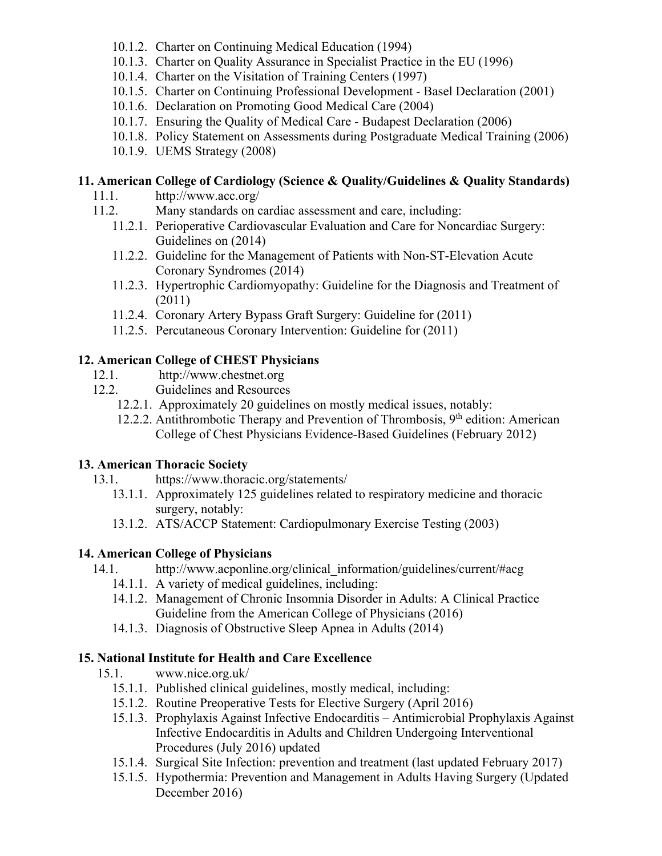- 10.1.2. Charter on Continuing Medical Education (1994)
- 10.1.3. Charter on Quality Assurance in Specialist Practice in the EU (1996)
- 10.1.4. Charter on the Visitation of Training Centers (1997)
- 10.1.5. Charter on Continuing Professional Development Basel Declaration (2001)
- 10.1.6. Declaration on Promoting Good Medical Care (2004)
- 10.1.7. Ensuring the Quality of Medical Care Budapest Declaration (2006)
- 10.1.8. Policy Statement on Assessments during Postgraduate Medical Training (2006)
- 10.1.9. UEMS Strategy (2008)

# **11. American College of Cardiology (Science & Quality/Guidelines & Quality Standards)**

- 11.1. <http://www.acc.org/>
- 11.2. Many standards on cardiac assessment and care, including:
	- 11.2.1. Perioperative Cardiovascular Evaluation and Care for Noncardiac Surgery: Guidelines on (2014)
	- 11.2.2. Guideline for the Management of Patients with Non-ST-Elevation Acute Coronary Syndromes (2014)
	- 11.2.3. Hypertrophic Cardiomyopathy: Guideline for the Diagnosis and Treatment of (2011)
	- 11.2.4. Coronary Artery Bypass Graft Surgery: Guideline for (2011)
	- 11.2.5. Percutaneous Coronary Intervention: Guideline for (2011)

# **12. American College of CHEST Physicians**

- 12.1. <http://www.chestnet.org>
- 12.2. Guidelines and Resources
	- 12.2.1. Approximately 20 guidelines on mostly medical issues, notably:
	- 12.2.2. Antithrombotic Therapy and Prevention of Thrombosis,  $9<sup>th</sup>$  edition: American College of Chest Physicians Evidence-Based Guidelines (February 2012)

## **13. American Thoracic Society**

- 13.1. <https://www.thoracic.org/statements/>
	- 13.1.1. Approximately 125 guidelines related to respiratory medicine and thoracic surgery, notably:
	- 13.1.2. ATS/ACCP Statement: Cardiopulmonary Exercise Testing (2003)

## **14. American College of Physicians**

- 14.1. [http://www.acponline.org/clinical\\_information/guidelines/current/#acg](http://www.acponline.org/clinical_information/guidelines/current/#acg) 
	- 14.1.1. A variety of medical guidelines, including:
		- 14.1.2. Management of Chronic Insomnia Disorder in Adults: A Clinical Practice Guideline from the American College of Physicians (2016)
		- 14.1.3. Diagnosis of Obstructive Sleep Apnea in Adults (2014)

# **15. National Institute for Health and Care Excellence**

- 15.1. <www.nice.org.uk/>
	- 15.1.1. Published clinical guidelines, mostly medical, including:
	- 15.1.2. Routine Preoperative Tests for Elective Surgery (April 2016)
	- 15.1.3. Prophylaxis Against Infective Endocarditis Antimicrobial Prophylaxis Against Infective Endocarditis in Adults and Children Undergoing Interventional Procedures (July 2016) updated
	- 15.1.4. Surgical Site Infection: prevention and treatment (last updated February 2017)
	- 15.1.5. Hypothermia: Prevention and Management in Adults Having Surgery (Updated December 2016)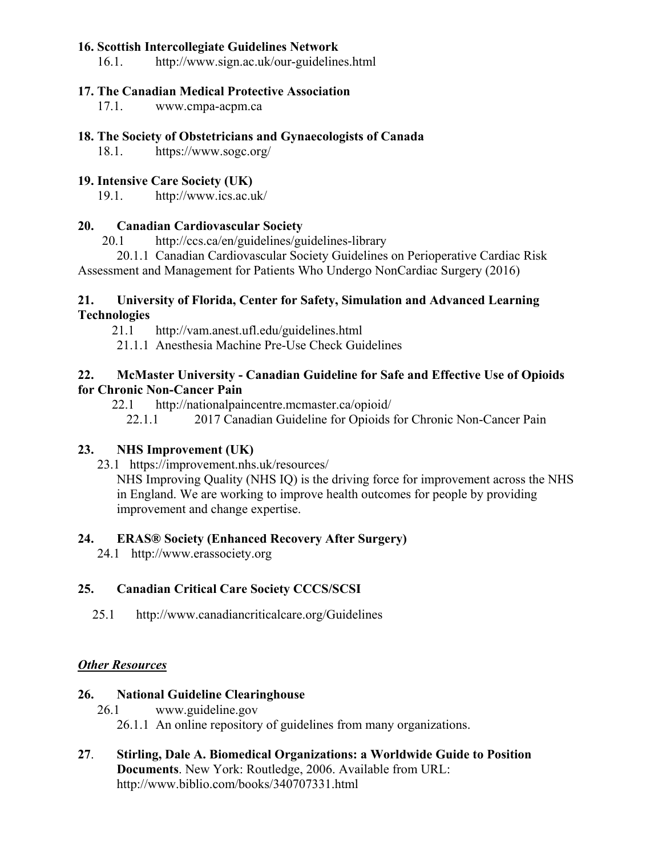## **16. Scottish Intercollegiate Guidelines Network**

16.1. <http://www.sign.ac.uk/our-guidelines.html>

#### **17. The Canadian Medical Protective Association**

17.1. <www.cmpa-acpm.ca>

#### **18. The Society of Obstetricians and Gynaecologists of Canada**

18.1. [https://www.sogc.org/](https://www.sogc.org/en/guidelines-and-jogc/en/content/guidelines-jogc/guidelines-and-jogc.aspx?hkey=aa09f753-7812-462a-9d80-3e6b609f6ec6)

#### **19. Intensive Care Society (UK)**

19.1. <http://www.ics.ac.uk/>

#### **20. Canadian Cardiovascular Society**

20.1 <http://ccs.ca/en/guidelines/guidelines-library>

20.1.1 Canadian Cardiovascular Society Guidelines on Perioperative Cardiac Risk Assessment and Management for Patients Who Undergo NonCardiac Surgery (2016)

#### **21. University of Florida, Center for Safety, Simulation and Advanced Learning Technologies**

21.1 <http://vam.anest.ufl.edu/guidelines.html>

21.1.1 Anesthesia Machine Pre-Use Check Guidelines

## **22. McMaster University - Canadian Guideline for Safe and Effective Use of Opioids for Chronic Non-Cancer Pain**

22.1 <http://nationalpaincentre.mcmaster.ca/opioid/>

22.1.1 2017 Canadian Guideline for Opioids for Chronic Non-Cancer Pain

## **23. NHS Improvement (UK)**

23.1 [https://improvement.nhs.uk/resources/](23.1   https://improvement.nhs.uk/resources/) 

NHS Improving Quality (NHS IQ) is the driving force for improvement across the NHS in England. We are working to improve health outcomes for people by providing improvement and change expertise.

## **24. ERAS® Society (Enhanced Recovery After Surgery)**

24.1 <http://www.erassociety.org>

## **25. Canadian Critical Care Society CCCS/SCSI**

25.1 <http://www.canadiancriticalcare.org/Guidelines>

## *Other Resources*

#### **26. National Guideline Clearinghouse**

26.1 <www.guideline.gov> 26.1.1 An online repository of guidelines from many organizations.

**27**. **Stirling, Dale A. Biomedical Organizations: a Worldwide Guide to Position Documents**. New York: Routledge, 2006. Available from URL: <http://www.biblio.com/books/340707331.html>